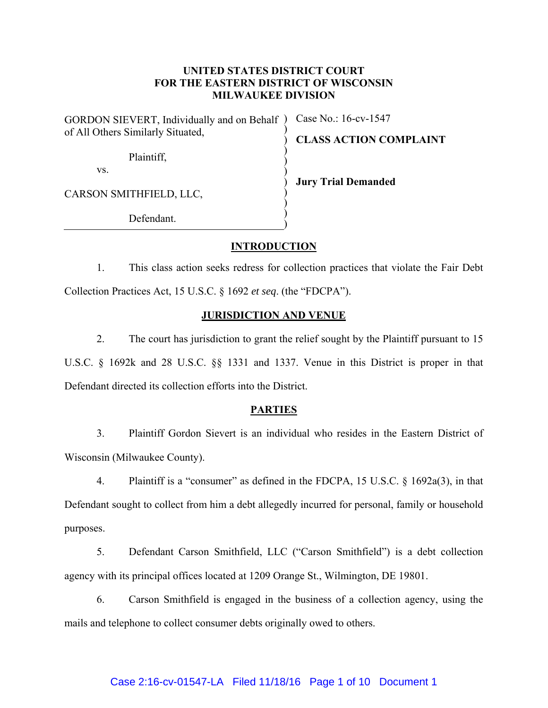## **UNITED STATES DISTRICT COURT FOR THE EASTERN DISTRICT OF WISCONSIN MILWAUKEE DIVISION**

 $\big)$  $\big)$ 

 $\big)$  $\big)$ )

GORDON SIEVERT, Individually and on Behalf ) Case No.: 16-cv-1547 of All Others Similarly Situated,  $\sum_{i=1}^{n}$  $\big)$ **CLASS ACTION COMPLAINT** 

Plaintiff,

vs.

 $\sum_{i=1}^{n}$  $\big)$  $\sum_{i=1}^{n}$ **Jury Trial Demanded** 

CARSON SMITHFIELD, LLC,

Defendant.

## **INTRODUCTION**

1. This class action seeks redress for collection practices that violate the Fair Debt Collection Practices Act, 15 U.S.C. § 1692 *et seq*. (the "FDCPA").

## **JURISDICTION AND VENUE**

2. The court has jurisdiction to grant the relief sought by the Plaintiff pursuant to 15 U.S.C. § 1692k and 28 U.S.C. §§ 1331 and 1337. Venue in this District is proper in that Defendant directed its collection efforts into the District.

## **PARTIES**

3. Plaintiff Gordon Sievert is an individual who resides in the Eastern District of Wisconsin (Milwaukee County).

4. Plaintiff is a "consumer" as defined in the FDCPA, 15 U.S.C. § 1692a(3), in that Defendant sought to collect from him a debt allegedly incurred for personal, family or household purposes.

5. Defendant Carson Smithfield, LLC ("Carson Smithfield") is a debt collection agency with its principal offices located at 1209 Orange St., Wilmington, DE 19801.

6. Carson Smithfield is engaged in the business of a collection agency, using the mails and telephone to collect consumer debts originally owed to others.

## Case 2:16-cv-01547-LA Filed 11/18/16 Page 1 of 10 Document 1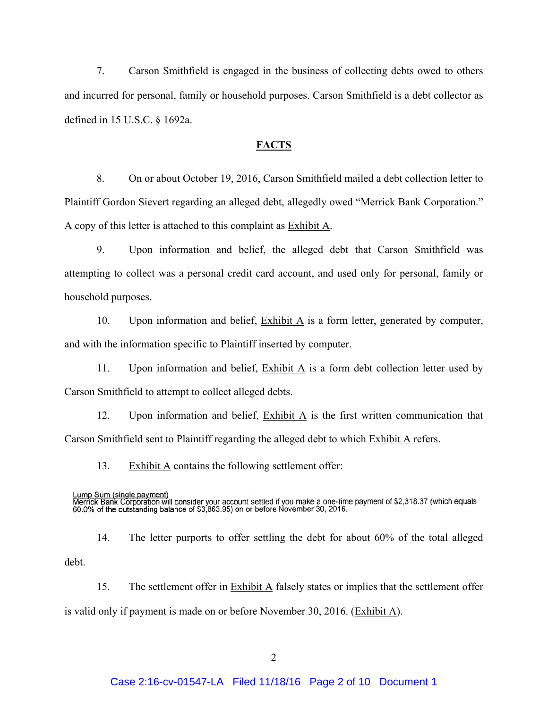7. Carson Smithfield is engaged in the business of collecting debts owed to others and incurred for personal, family or household purposes. Carson Smithfield is a debt collector as defined in 15 U.S.C. § 1692a.

## **FACTS**

8. On or about October 19, 2016, Carson Smithfield mailed a debt collection letter to Plaintiff Gordon Sievert regarding an alleged debt, allegedly owed "Merrick Bank Corporation." A copy of this letter is attached to this complaint as Exhibit A.

9. Upon information and belief, the alleged debt that Carson Smithfield was attempting to collect was a personal credit card account, and used only for personal, family or household purposes.

10. Upon information and belief, Exhibit A is a form letter, generated by computer, and with the information specific to Plaintiff inserted by computer.

11. Upon information and belief,  $\frac{Exhibit A}{A}$  is a form debt collection letter used by Carson Smithfield to attempt to collect alleged debts.

12. Upon information and belief,  $\overline{\text{Exhibit A}}$  is the first written communication that Carson Smithfield sent to Plaintiff regarding the alleged debt to which **Exhibit A** refers.

13. Exhibit A contains the following settlement offer:

Lump Sum (single payment)<br>Merrick Bank Corporation will consider your account settled if you make a one-time payment of \$2,318.37 (which equals<br>60.0% of the outstanding balance of \$3,863.95) on or before November 30, 2016.

14. The letter purports to offer settling the debt for about 60% of the total alleged debt.

15. The settlement offer in Exhibit A falsely states or implies that the settlement offer is valid only if payment is made on or before November 30, 2016. (Exhibit A).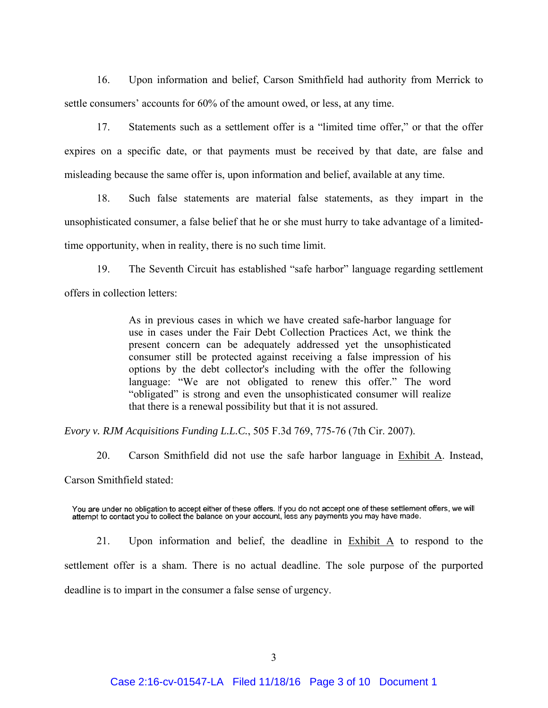16. Upon information and belief, Carson Smithfield had authority from Merrick to settle consumers' accounts for 60% of the amount owed, or less, at any time.

17. Statements such as a settlement offer is a "limited time offer," or that the offer expires on a specific date, or that payments must be received by that date, are false and misleading because the same offer is, upon information and belief, available at any time.

18. Such false statements are material false statements, as they impart in the unsophisticated consumer, a false belief that he or she must hurry to take advantage of a limitedtime opportunity, when in reality, there is no such time limit.

19. The Seventh Circuit has established "safe harbor" language regarding settlement offers in collection letters:

> As in previous cases in which we have created safe-harbor language for use in cases under the Fair Debt Collection Practices Act, we think the present concern can be adequately addressed yet the unsophisticated consumer still be protected against receiving a false impression of his options by the debt collector's including with the offer the following language: "We are not obligated to renew this offer." The word "obligated" is strong and even the unsophisticated consumer will realize that there is a renewal possibility but that it is not assured.

*Evory v. RJM Acquisitions Funding L.L.C.*, 505 F.3d 769, 775-76 (7th Cir. 2007).

20. Carson Smithfield did not use the safe harbor language in  $Exhibit A$ . Instead, Carson Smithfield stated:

You are under no obligation to accept either of these offers. If you do not accept one of these settlement offers, we will<br>attempt to contact you to collect the balance on your account, less any payments you may have made.

21. Upon information and belief, the deadline in  $Exhibit A$  to respond to the settlement offer is a sham. There is no actual deadline. The sole purpose of the purported deadline is to impart in the consumer a false sense of urgency.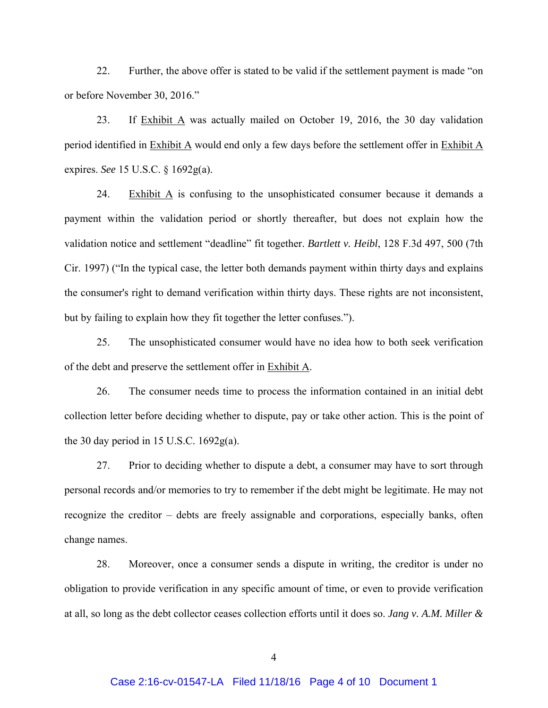22. Further, the above offer is stated to be valid if the settlement payment is made "on or before November 30, 2016."

23. If Exhibit A was actually mailed on October 19, 2016, the 30 day validation period identified in Exhibit A would end only a few days before the settlement offer in Exhibit A expires. *See* 15 U.S.C. § 1692g(a).

24. Exhibit  $\overline{A}$  is confusing to the unsophisticated consumer because it demands a payment within the validation period or shortly thereafter, but does not explain how the validation notice and settlement "deadline" fit together. *Bartlett v. Heibl*, 128 F.3d 497, 500 (7th Cir. 1997) ("In the typical case, the letter both demands payment within thirty days and explains the consumer's right to demand verification within thirty days. These rights are not inconsistent, but by failing to explain how they fit together the letter confuses.").

25. The unsophisticated consumer would have no idea how to both seek verification of the debt and preserve the settlement offer in Exhibit A.

26. The consumer needs time to process the information contained in an initial debt collection letter before deciding whether to dispute, pay or take other action. This is the point of the 30 day period in 15 U.S.C.  $1692g(a)$ .

27. Prior to deciding whether to dispute a debt, a consumer may have to sort through personal records and/or memories to try to remember if the debt might be legitimate. He may not recognize the creditor – debts are freely assignable and corporations, especially banks, often change names.

28. Moreover, once a consumer sends a dispute in writing, the creditor is under no obligation to provide verification in any specific amount of time, or even to provide verification at all, so long as the debt collector ceases collection efforts until it does so. *Jang v. A.M. Miller &*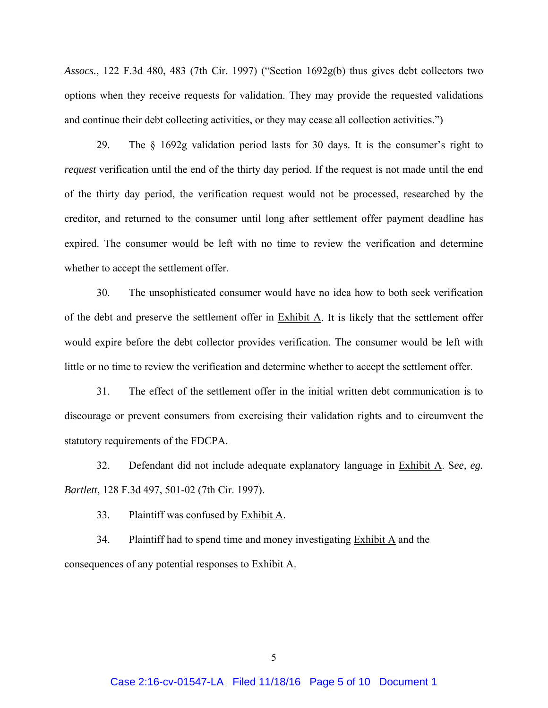*Assocs.*, 122 F.3d 480, 483 (7th Cir. 1997) ("Section 1692g(b) thus gives debt collectors two options when they receive requests for validation. They may provide the requested validations and continue their debt collecting activities, or they may cease all collection activities.")

29. The § 1692g validation period lasts for 30 days. It is the consumer's right to *request* verification until the end of the thirty day period. If the request is not made until the end of the thirty day period, the verification request would not be processed, researched by the creditor, and returned to the consumer until long after settlement offer payment deadline has expired. The consumer would be left with no time to review the verification and determine whether to accept the settlement offer.

30. The unsophisticated consumer would have no idea how to both seek verification of the debt and preserve the settlement offer in **Exhibit A**. It is likely that the settlement offer would expire before the debt collector provides verification. The consumer would be left with little or no time to review the verification and determine whether to accept the settlement offer.

31. The effect of the settlement offer in the initial written debt communication is to discourage or prevent consumers from exercising their validation rights and to circumvent the statutory requirements of the FDCPA.

32. Defendant did not include adequate explanatory language in Exhibit A. S*ee, eg. Bartlett*, 128 F.3d 497, 501-02 (7th Cir. 1997).

33. Plaintiff was confused by Exhibit A.

34. Plaintiff had to spend time and money investigating  $Exhibit A$  and the consequences of any potential responses to Exhibit A.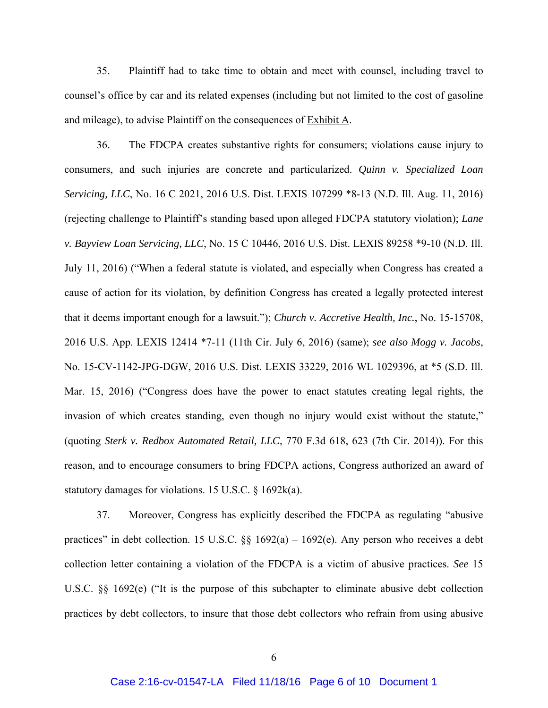35. Plaintiff had to take time to obtain and meet with counsel, including travel to counsel's office by car and its related expenses (including but not limited to the cost of gasoline and mileage), to advise Plaintiff on the consequences of Exhibit A.

36. The FDCPA creates substantive rights for consumers; violations cause injury to consumers, and such injuries are concrete and particularized. *Quinn v. Specialized Loan Servicing, LLC*, No. 16 C 2021, 2016 U.S. Dist. LEXIS 107299 \*8-13 (N.D. Ill. Aug. 11, 2016) (rejecting challenge to Plaintiff's standing based upon alleged FDCPA statutory violation); *Lane v. Bayview Loan Servicing, LLC*, No. 15 C 10446, 2016 U.S. Dist. LEXIS 89258 \*9-10 (N.D. Ill. July 11, 2016) ("When a federal statute is violated, and especially when Congress has created a cause of action for its violation, by definition Congress has created a legally protected interest that it deems important enough for a lawsuit."); *Church v. Accretive Health, Inc.*, No. 15-15708, 2016 U.S. App. LEXIS 12414 \*7-11 (11th Cir. July 6, 2016) (same); *see also Mogg v. Jacobs*, No. 15-CV-1142-JPG-DGW, 2016 U.S. Dist. LEXIS 33229, 2016 WL 1029396, at \*5 (S.D. Ill. Mar. 15, 2016) ("Congress does have the power to enact statutes creating legal rights, the invasion of which creates standing, even though no injury would exist without the statute," (quoting *Sterk v. Redbox Automated Retail, LLC*, 770 F.3d 618, 623 (7th Cir. 2014)). For this reason, and to encourage consumers to bring FDCPA actions, Congress authorized an award of statutory damages for violations. 15 U.S.C. § 1692k(a).

37. Moreover, Congress has explicitly described the FDCPA as regulating "abusive practices" in debt collection. 15 U.S.C.  $\S$  1692(a) – 1692(e). Any person who receives a debt collection letter containing a violation of the FDCPA is a victim of abusive practices. *See* 15 U.S.C. §§ 1692(e) ("It is the purpose of this subchapter to eliminate abusive debt collection practices by debt collectors, to insure that those debt collectors who refrain from using abusive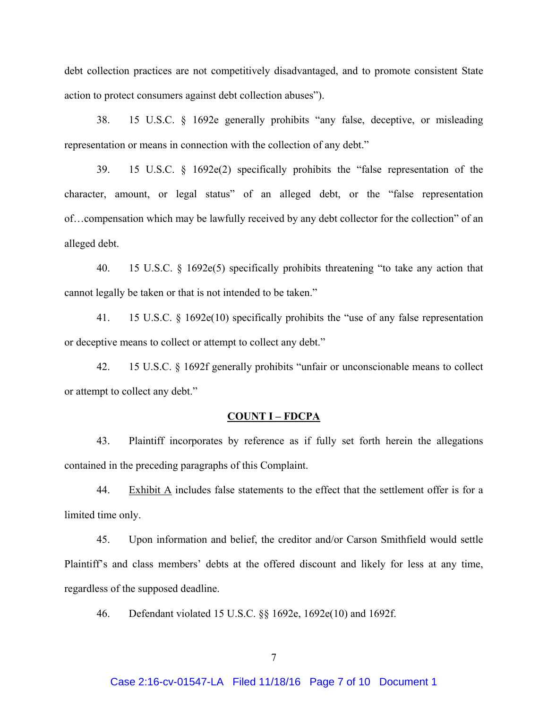debt collection practices are not competitively disadvantaged, and to promote consistent State action to protect consumers against debt collection abuses").

38. 15 U.S.C. § 1692e generally prohibits "any false, deceptive, or misleading representation or means in connection with the collection of any debt."

39. 15 U.S.C. § 1692e(2) specifically prohibits the "false representation of the character, amount, or legal status" of an alleged debt, or the "false representation of…compensation which may be lawfully received by any debt collector for the collection" of an alleged debt.

40. 15 U.S.C. § 1692e(5) specifically prohibits threatening "to take any action that cannot legally be taken or that is not intended to be taken."

41. 15 U.S.C. § 1692e(10) specifically prohibits the "use of any false representation or deceptive means to collect or attempt to collect any debt."

42. 15 U.S.C. § 1692f generally prohibits "unfair or unconscionable means to collect or attempt to collect any debt."

## **COUNT I – FDCPA**

43. Plaintiff incorporates by reference as if fully set forth herein the allegations contained in the preceding paragraphs of this Complaint.

44. Exhibit A includes false statements to the effect that the settlement offer is for a limited time only.

45. Upon information and belief, the creditor and/or Carson Smithfield would settle Plaintiff's and class members' debts at the offered discount and likely for less at any time, regardless of the supposed deadline.

46. Defendant violated 15 U.S.C. §§ 1692e, 1692e(10) and 1692f.

## Case 2:16-cv-01547-LA Filed 11/18/16 Page 7 of 10 Document 1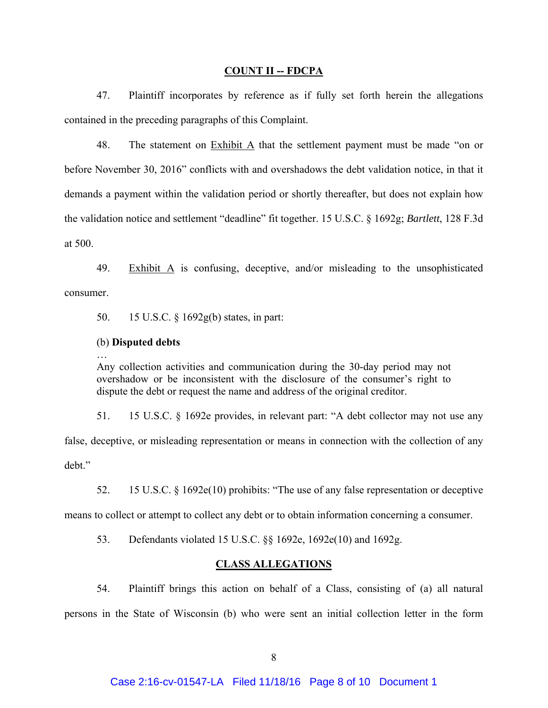## **COUNT II -- FDCPA**

47. Plaintiff incorporates by reference as if fully set forth herein the allegations contained in the preceding paragraphs of this Complaint.

48. The statement on Exhibit A that the settlement payment must be made "on or before November 30, 2016" conflicts with and overshadows the debt validation notice, in that it demands a payment within the validation period or shortly thereafter, but does not explain how the validation notice and settlement "deadline" fit together. 15 U.S.C. § 1692g; *Bartlett*, 128 F.3d at 500.

49. Exhibit A is confusing, deceptive, and/or misleading to the unsophisticated consumer.

50. 15 U.S.C. § 1692g(b) states, in part:

## (b) **Disputed debts**

…

Any collection activities and communication during the 30-day period may not overshadow or be inconsistent with the disclosure of the consumer's right to dispute the debt or request the name and address of the original creditor.

51. 15 U.S.C. § 1692e provides, in relevant part: "A debt collector may not use any false, deceptive, or misleading representation or means in connection with the collection of any debt."

52. 15 U.S.C. § 1692e(10) prohibits: "The use of any false representation or deceptive

means to collect or attempt to collect any debt or to obtain information concerning a consumer.

53. Defendants violated 15 U.S.C. §§ 1692e, 1692e(10) and 1692g.

## **CLASS ALLEGATIONS**

54. Plaintiff brings this action on behalf of a Class, consisting of (a) all natural persons in the State of Wisconsin (b) who were sent an initial collection letter in the form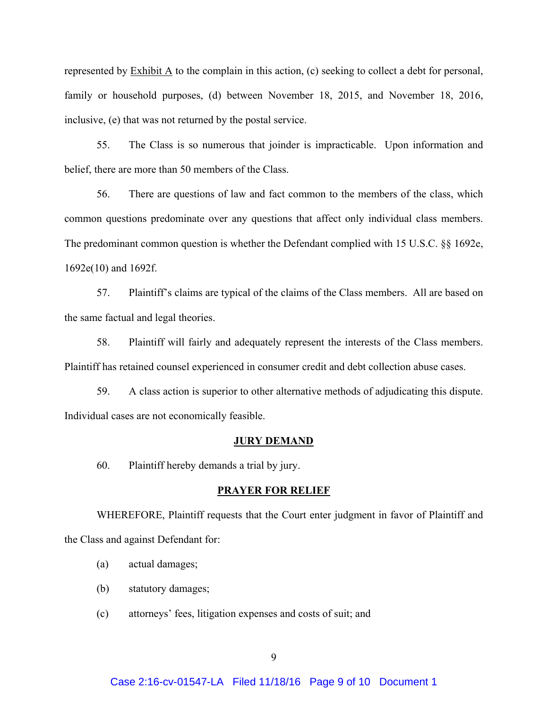represented by  $\frac{Exhibit A}{A}$  to the complain in this action, (c) seeking to collect a debt for personal, family or household purposes, (d) between November 18, 2015, and November 18, 2016, inclusive, (e) that was not returned by the postal service.

55. The Class is so numerous that joinder is impracticable. Upon information and belief, there are more than 50 members of the Class.

56. There are questions of law and fact common to the members of the class, which common questions predominate over any questions that affect only individual class members. The predominant common question is whether the Defendant complied with 15 U.S.C. §§ 1692e, 1692e(10) and 1692f.

57. Plaintiff's claims are typical of the claims of the Class members. All are based on the same factual and legal theories.

58. Plaintiff will fairly and adequately represent the interests of the Class members. Plaintiff has retained counsel experienced in consumer credit and debt collection abuse cases.

59. A class action is superior to other alternative methods of adjudicating this dispute. Individual cases are not economically feasible.

## **JURY DEMAND**

60. Plaintiff hereby demands a trial by jury.

## **PRAYER FOR RELIEF**

WHEREFORE, Plaintiff requests that the Court enter judgment in favor of Plaintiff and the Class and against Defendant for:

- (a) actual damages;
- (b) statutory damages;
- (c) attorneys' fees, litigation expenses and costs of suit; and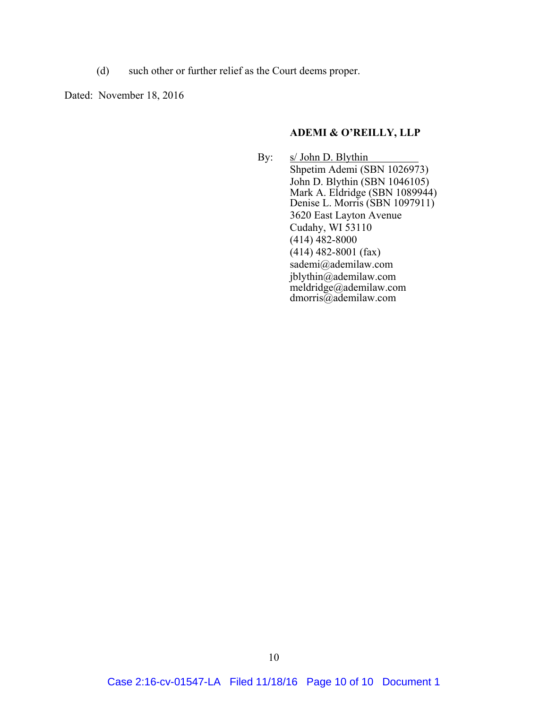(d) such other or further relief as the Court deems proper.

Dated: November 18, 2016

## **ADEMI & O'REILLY, LLP**

By: s/ John D. Blythin Shpetim Ademi (SBN 1026973) John D. Blythin (SBN 1046105) Mark A. Eldridge (SBN 1089944) Denise L. Morris (SBN 1097911) 3620 East Layton Avenue Cudahy, WI 53110 (414) 482-8000 (414) 482-8001 (fax) sademi@ademilaw.com jblythin@ademilaw.com meldridge@ademilaw.com dmorris@ademilaw.com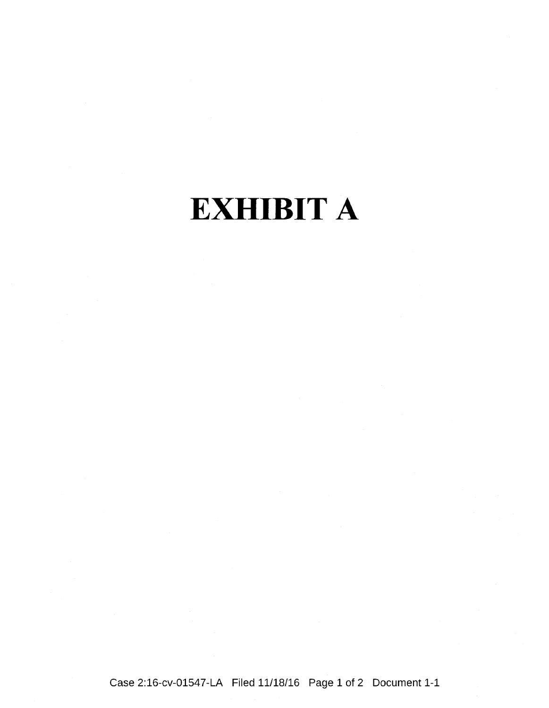# EXHIBIT A

Case 2:16-cv-01547-LA Filed 11/18/16 Page <sup>1</sup> of 2 Document 1-1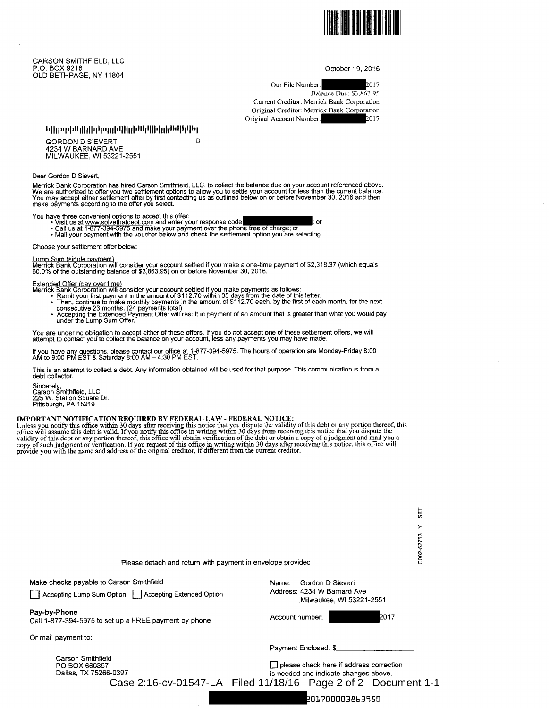CARSON SMITHFIELD, LLC<br>P.O. BOX 9216 OLD BETHPAGE, NY 11804

October 19, 2016

Our File Number: 2017

Balance Due: \$3, 863.95 Current Creditor: Merrick Bank Corporation Original Creditor: Merrick Bank Corporation<br>
riginal Account Number: 2017 Original Account Number:

## 11||դերեկերի կազարկացի հարցեր

GORDON D SIEVERT 4234 W BARNARD AVE MILWAUKEE, WI 53221-255'1

Dear Gordon D Sievert,

Merrick Bank Corporation has hired Carson Smithfield, LLC, to collect the balance due on your account referenced above.<br>We are authorized to offer you two settlement options to allow you to settle your account for less tha

D



You have three convenient options to accept this offer:<br>• Visit us at www.solvethatdebt.com and enter your response code<br>• Call us at 1-877-394-5975 and make your payment over the phone free of charge; or<br>• Mail your payme

Choose your settlement offer below

<u>Lump Sum (single payment)</u><br>Merrick Bank Corporation will consider your account settled if you make a one-time payment of \$2,318.37 (which equals<br>60.0% of the outstanding balance of \$3,863.95) on or before November 30, 201

- -
- Extended Offer (pay over time)<br>
Merrick Bank Corporation will consider your account settled if you make payments as follows:<br>
 Remit your first payment in the amount of \$112.70 within 35 days from the date of this letter.
	- under the Lump Sum Offer.

You are under no obligation to accept either of these offers. If you do not accept one of these settlement offers, we will attempt to contact you to collect the balance on your account, less any payments you may have made.

If you have any questions, please contact our office at 1-877-394-5975. The hours of operation are Monday-Friday 8:00 AM to 9:00 PM EST & Saturday 8:00 AM 4:30 PM EST.

This is an attempt to collect <sup>a</sup> debt. Any information obtained will be used for that purpose. This communication is from <sup>a</sup> debt collector.

Sincerely,<br>Carson Smithfield, LLC<br>225 W. Station Square Dr.<br>Pittsburgh, PA 15219

**IMPORTANT NOTIFICATION REQUIRED BY FEDERAL LAW - FEDERAL NOTICE:**<br>Unless you notify this office within 30 days after receiving this notice that you dispute the validity of this debt or any portion thereof, this office wit

| Please detach and return with payment in envelope provided            |                                                         |
|-----------------------------------------------------------------------|---------------------------------------------------------|
| Make checks payable to Carson Smithfield                              | Gordon D Sievert<br>Name:                               |
| Accepting Lump Sum Option   Accepting Extended Option                 | Address: 4234 W Barnard Ave<br>Milwaukee, WI 53221-2551 |
| Pay-by-Phone<br>Call 1-877-394-5975 to set up a FREE payment by phone | Account number:<br>2017                                 |
| Or mail payment to:                                                   |                                                         |
|                                                                       | Payment Enclosed: \$                                    |
| Carson Smithfield<br>PO BOX 660397<br>דחמת ממחזל עד - - יו"           | Dease check here if address correction                  |

Carson Smithfield<br>PO BOX 660397

Dallas, TX 75266-0397 **is needed and indicate changes above.** Case 2:16-cv-01547-LA Filed 11/18/16 Page 2 of 2 Document 1-1

01700003863950

 $5E$  $\geq$ 0002-52763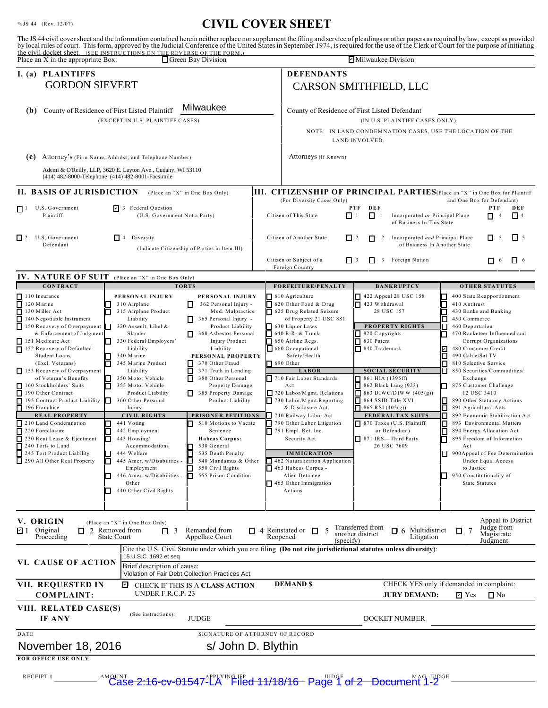## **CIVIL COVER SHEET**

The JS 44 civil cover sheet and the information contained herein neither replace nor supplement the filing and service of pleadings or other papers as required by law, except as provided<br>by local rules of court. This form,

| Place an X in the appropriate Box:                                                                                                                                                                                                                                                                                                                                                                                                                                                                                                                                                            |                                                                                                                                                                                                                                                                                                                                                                                                                                                                                                                                                | Green Bay Division                                                                                                                                                                                                                                                                                                                                                                                                                                                                                                                           |                                                                                                                                                                                                                                                                                                                                                                                                                                                                                                                                                                                                      | Milwaukee Division                                                                                                                                                                                                                                                                                                                                                                                         |                                                                                                                                                                                                                                                                                                                                                                                                                                                                                                                                                                                                                                       |
|-----------------------------------------------------------------------------------------------------------------------------------------------------------------------------------------------------------------------------------------------------------------------------------------------------------------------------------------------------------------------------------------------------------------------------------------------------------------------------------------------------------------------------------------------------------------------------------------------|------------------------------------------------------------------------------------------------------------------------------------------------------------------------------------------------------------------------------------------------------------------------------------------------------------------------------------------------------------------------------------------------------------------------------------------------------------------------------------------------------------------------------------------------|----------------------------------------------------------------------------------------------------------------------------------------------------------------------------------------------------------------------------------------------------------------------------------------------------------------------------------------------------------------------------------------------------------------------------------------------------------------------------------------------------------------------------------------------|------------------------------------------------------------------------------------------------------------------------------------------------------------------------------------------------------------------------------------------------------------------------------------------------------------------------------------------------------------------------------------------------------------------------------------------------------------------------------------------------------------------------------------------------------------------------------------------------------|------------------------------------------------------------------------------------------------------------------------------------------------------------------------------------------------------------------------------------------------------------------------------------------------------------------------------------------------------------------------------------------------------------|---------------------------------------------------------------------------------------------------------------------------------------------------------------------------------------------------------------------------------------------------------------------------------------------------------------------------------------------------------------------------------------------------------------------------------------------------------------------------------------------------------------------------------------------------------------------------------------------------------------------------------------|
| I. (a) PLAINTIFFS                                                                                                                                                                                                                                                                                                                                                                                                                                                                                                                                                                             |                                                                                                                                                                                                                                                                                                                                                                                                                                                                                                                                                |                                                                                                                                                                                                                                                                                                                                                                                                                                                                                                                                              | <b>DEFENDANTS</b>                                                                                                                                                                                                                                                                                                                                                                                                                                                                                                                                                                                    |                                                                                                                                                                                                                                                                                                                                                                                                            |                                                                                                                                                                                                                                                                                                                                                                                                                                                                                                                                                                                                                                       |
| <b>GORDON SIEVERT</b>                                                                                                                                                                                                                                                                                                                                                                                                                                                                                                                                                                         |                                                                                                                                                                                                                                                                                                                                                                                                                                                                                                                                                |                                                                                                                                                                                                                                                                                                                                                                                                                                                                                                                                              | CARSON SMITHFIELD, LLC                                                                                                                                                                                                                                                                                                                                                                                                                                                                                                                                                                               |                                                                                                                                                                                                                                                                                                                                                                                                            |                                                                                                                                                                                                                                                                                                                                                                                                                                                                                                                                                                                                                                       |
| (b)                                                                                                                                                                                                                                                                                                                                                                                                                                                                                                                                                                                           | County of Residence of First Listed Plaintiff<br>(EXCEPT IN U.S. PLAINTIFF CASES)                                                                                                                                                                                                                                                                                                                                                                                                                                                              | Milwaukee                                                                                                                                                                                                                                                                                                                                                                                                                                                                                                                                    |                                                                                                                                                                                                                                                                                                                                                                                                                                                                                                                                                                                                      | County of Residence of First Listed Defendant<br>(IN U.S. PLAINTIFF CASES ONLY)<br>NOTE: IN LAND CONDEMNATION CASES, USE THE LOCATION OF THE                                                                                                                                                                                                                                                               |                                                                                                                                                                                                                                                                                                                                                                                                                                                                                                                                                                                                                                       |
| (c)                                                                                                                                                                                                                                                                                                                                                                                                                                                                                                                                                                                           | Attorney's (Firm Name, Address, and Telephone Number)<br>Ademi & O'Reilly, LLP, 3620 E. Layton Ave., Cudahy, WI 53110<br>(414) 482-8000-Telephone (414) 482-8001-Facsimile                                                                                                                                                                                                                                                                                                                                                                     |                                                                                                                                                                                                                                                                                                                                                                                                                                                                                                                                              | Attorneys (If Known)                                                                                                                                                                                                                                                                                                                                                                                                                                                                                                                                                                                 | LAND INVOLVED.                                                                                                                                                                                                                                                                                                                                                                                             |                                                                                                                                                                                                                                                                                                                                                                                                                                                                                                                                                                                                                                       |
|                                                                                                                                                                                                                                                                                                                                                                                                                                                                                                                                                                                               |                                                                                                                                                                                                                                                                                                                                                                                                                                                                                                                                                |                                                                                                                                                                                                                                                                                                                                                                                                                                                                                                                                              |                                                                                                                                                                                                                                                                                                                                                                                                                                                                                                                                                                                                      |                                                                                                                                                                                                                                                                                                                                                                                                            |                                                                                                                                                                                                                                                                                                                                                                                                                                                                                                                                                                                                                                       |
| <b>II. BASIS OF JURISDICTION</b><br>(Place an "X" in One Box Only)<br>$\triangleright$ 3 Federal Question<br>U.S. Government<br>$\Box$ <sup>1</sup><br>Plaintiff<br>(U.S. Government Not a Party)                                                                                                                                                                                                                                                                                                                                                                                             |                                                                                                                                                                                                                                                                                                                                                                                                                                                                                                                                                | <b>III. CITIZENSHIP OF PRINCIPAL PARTIES</b> (Place an "X" in One Box for Plaintiff<br>(For Diversity Cases Only)<br>and One Box for Defendant)<br>DEF<br>PTF<br>PTF<br>DEF<br>$\Box$ <sup>1</sup><br>Citizen of This State<br>$\Box$ 1<br>Incorporated or Principal Place<br>$\Box$ 4<br>п.<br>$\overline{4}$<br>of Business In This State                                                                                                                                                                                                  |                                                                                                                                                                                                                                                                                                                                                                                                                                                                                                                                                                                                      |                                                                                                                                                                                                                                                                                                                                                                                                            |                                                                                                                                                                                                                                                                                                                                                                                                                                                                                                                                                                                                                                       |
| U.S. Government<br>$\Box$ 2<br>Defendant                                                                                                                                                                                                                                                                                                                                                                                                                                                                                                                                                      | Diversity<br>$\overline{4}$<br>П                                                                                                                                                                                                                                                                                                                                                                                                                                                                                                               | (Indicate Citizenship of Parties in Item III)                                                                                                                                                                                                                                                                                                                                                                                                                                                                                                | Citizen of Another State                                                                                                                                                                                                                                                                                                                                                                                                                                                                                                                                                                             | Incorporated and Principal Place<br>$\Box$ 2<br>2<br>П<br>of Business In Another State                                                                                                                                                                                                                                                                                                                     | $\Box$ 5<br>О.<br>-5                                                                                                                                                                                                                                                                                                                                                                                                                                                                                                                                                                                                                  |
|                                                                                                                                                                                                                                                                                                                                                                                                                                                                                                                                                                                               |                                                                                                                                                                                                                                                                                                                                                                                                                                                                                                                                                |                                                                                                                                                                                                                                                                                                                                                                                                                                                                                                                                              | Citizen or Subject of a<br>Foreign Country                                                                                                                                                                                                                                                                                                                                                                                                                                                                                                                                                           | Foreign Nation<br>$\Box$ 3<br>П<br>3                                                                                                                                                                                                                                                                                                                                                                       | $\Box$ 6<br>П.<br>6                                                                                                                                                                                                                                                                                                                                                                                                                                                                                                                                                                                                                   |
| IV. NATURE OF SUIT (Place an "X" in One Box Only)<br><b>CONTRACT</b>                                                                                                                                                                                                                                                                                                                                                                                                                                                                                                                          | <b>TORTS</b>                                                                                                                                                                                                                                                                                                                                                                                                                                                                                                                                   |                                                                                                                                                                                                                                                                                                                                                                                                                                                                                                                                              | FORFEITURE/PENALTY                                                                                                                                                                                                                                                                                                                                                                                                                                                                                                                                                                                   | <b>BANKRUPTCY</b>                                                                                                                                                                                                                                                                                                                                                                                          | <b>OTHER STATUTES</b>                                                                                                                                                                                                                                                                                                                                                                                                                                                                                                                                                                                                                 |
| 110 Insurance<br>120 Marine<br>130 Miller Act<br>140 Negotiable Instrument<br>150 Recovery of Overpayment<br>& Enforcement of Judgment<br>151 Medicare Act<br>152 Recovery of Defaulted<br>Student Loans<br>(Excl. Veterans)<br>153 Recovery of Overpayment<br>of Veteran's Benefits<br>160 Stockholders' Suits<br>190 Other Contract<br>195 Contract Product Liability<br>$\Box$ 196 Franchise<br><b>REAL PROPERTY</b><br>210 Land Condemnation<br>220 Foreclosure<br>230 Rent Lease & Ejectment<br>□<br>240 Torts to Land<br>ñ<br>245 Tort Product Liability<br>290 All Other Real Property | PERSONAL INJURY<br>310 Airplane<br>315 Airplane Product<br>Liability<br>320 Assault, Libel &<br>Slander<br>330 Federal Employers'<br>Liability<br>340 Marine<br>345 Marine Product<br>Liability<br>350 Motor Vehicle<br>355 Motor Vehicle<br>Product Liability<br>360 Other Personal<br>Ш<br>Injury<br><b>CIVIL RIGHTS</b><br>441 Voting<br>П<br>442 Employment<br>443 Housing/<br>П<br>Accommodations<br>IП<br>444 Welfare<br>IП<br>445 Amer. w/Disabilities -<br>Employment<br>446 Amer. w/Disabilities -<br>Other<br>440 Other Civil Rights | PERSONAL INJURY<br>П<br>362 Personal Injury -<br>Med. Malpractice<br>365 Personal Injury -<br>Product Liability<br>368 Asbestos Personal<br>Injury Product<br>Liability<br>PERSONAL PROPERTY<br>Π<br>370 Other Fraud<br>371 Truth in Lending<br>□<br>п<br>380 Other Personal<br>Property Damage<br>385 Property Damage<br>Product Liability<br>PRISONER PETITIONS<br>510 Motions to Vacate<br>Sentence<br><b>Habeas Corpus:</b><br>530 General<br>535 Death Penalty<br>Π<br>540 Mandamus & Other<br>550 Civil Rights<br>555 Prison Condition | $\Box$ 610 Agriculture<br>620 Other Food & Drug<br>625 Drug Related Seizure<br>of Property 21 USC 881<br>630 Liquor Laws<br>640 R.R. & Truck<br>- 1<br>650 Airline Regs.<br>660 Occupational<br>Safety/Health<br>$\Box$ 690 Other<br><b>LABOR</b><br>710 Fair Labor Standards<br>Act<br>720 Labor/Mgmt. Relations<br>730 Labor/Mgmt.Reporting<br>& Disclosure Act<br>740 Railway Labor Act<br>790 Other Labor Litigation<br>791 Empl. Ret. Inc.<br>Security Act<br><b>IMMIGRATION</b><br>462 Naturalization Application<br>463 Habeas Corpus -<br>Alien Detainee<br>465 Other Immigration<br>Actions | 422 Appeal 28 USC 158<br>423 Withdrawal<br>28 USC 157<br><b>PROPERTY RIGHTS</b><br>820 Copyrights<br>830 Patent<br>840 Trademark<br><b>SOCIAL SECURITY</b><br>$\sqrt{861}$ HIA (1395ff)<br>862 Black Lung (923)<br>$\Box$ 863 DIWC/DIWW (405(g))<br>864 SSID Title XVI<br>$\Box$ 865 RSI (405(g))<br>FEDERAL TAX SUITS<br>870 Taxes (U.S. Plaintiff<br>or Defendant)<br>871 IRS-Third Party<br>26 USC 7609 | 400 State Reapportionment<br>410 Antitrust<br>430 Banks and Banking<br>450 Commerce<br>460 Deportation<br>470 Racketeer Influenced and<br>Corrupt Organizations<br>480 Consumer Credit<br>490 Cable/Sat TV<br>810 Selective Service<br>850 Securities/Commodities/<br>Exchange<br>875 Customer Challenge<br>12 USC 3410<br>890 Other Statutory Actions<br>891 Agricultural Acts<br>892 Economic Stabilization Act<br>893 Environmental Matters<br>894 Energy Allocation Act<br>895 Freedom of Information<br>Act<br>900 Appeal of Fee Determination<br>Under Equal Access<br>to Justice<br>950 Constitutionality of<br>State Statutes |
| V. ORIGIN<br>Original<br>☑ 1<br>Proceeding                                                                                                                                                                                                                                                                                                                                                                                                                                                                                                                                                    | (Place an "X" in One Box Only)<br>$\Box$ 2 Removed from<br>П <sub>3</sub><br>State Court                                                                                                                                                                                                                                                                                                                                                                                                                                                       | Remanded from<br>Appellate Court                                                                                                                                                                                                                                                                                                                                                                                                                                                                                                             | -5<br>$\Box$ 4 Reinstated or $\Box$<br>Reopened                                                                                                                                                                                                                                                                                                                                                                                                                                                                                                                                                      | Transferred from<br>$\Box$ 6 Multidistrict<br>another district<br>Litigation<br>(specify)                                                                                                                                                                                                                                                                                                                  | Appeal to District<br>Judge from<br>0<br>Magistrate<br>Judgment                                                                                                                                                                                                                                                                                                                                                                                                                                                                                                                                                                       |
| <b>VI. CAUSE OF ACTION</b>                                                                                                                                                                                                                                                                                                                                                                                                                                                                                                                                                                    | 15 U.S.C. 1692 et seq<br>Brief description of cause:                                                                                                                                                                                                                                                                                                                                                                                                                                                                                           | Violation of Fair Debt Collection Practices Act                                                                                                                                                                                                                                                                                                                                                                                                                                                                                              |                                                                                                                                                                                                                                                                                                                                                                                                                                                                                                                                                                                                      | Cite the U.S. Civil Statute under which you are filing (Do not cite jurisdictional statutes unless diversity):                                                                                                                                                                                                                                                                                             |                                                                                                                                                                                                                                                                                                                                                                                                                                                                                                                                                                                                                                       |
| VII. REQUESTED IN<br><b>COMPLAINT:</b>                                                                                                                                                                                                                                                                                                                                                                                                                                                                                                                                                        | ☑<br>UNDER F.R.C.P. 23                                                                                                                                                                                                                                                                                                                                                                                                                                                                                                                         | CHECK IF THIS IS A CLASS ACTION                                                                                                                                                                                                                                                                                                                                                                                                                                                                                                              | <b>DEMAND \$</b>                                                                                                                                                                                                                                                                                                                                                                                                                                                                                                                                                                                     | <b>JURY DEMAND:</b>                                                                                                                                                                                                                                                                                                                                                                                        | CHECK YES only if demanded in complaint:<br>$\mathbf{Z}$ Yes<br>$\Box$ No                                                                                                                                                                                                                                                                                                                                                                                                                                                                                                                                                             |
| VIII. RELATED CASE(S)<br>IF ANY                                                                                                                                                                                                                                                                                                                                                                                                                                                                                                                                                               | (See instructions):                                                                                                                                                                                                                                                                                                                                                                                                                                                                                                                            | <b>JUDGE</b>                                                                                                                                                                                                                                                                                                                                                                                                                                                                                                                                 |                                                                                                                                                                                                                                                                                                                                                                                                                                                                                                                                                                                                      | DOCKET NUMBER                                                                                                                                                                                                                                                                                                                                                                                              |                                                                                                                                                                                                                                                                                                                                                                                                                                                                                                                                                                                                                                       |
| DATE<br>November 18, 2016<br>FOR OFFICE USE ONLY                                                                                                                                                                                                                                                                                                                                                                                                                                                                                                                                              |                                                                                                                                                                                                                                                                                                                                                                                                                                                                                                                                                | s/ John D. Blythin                                                                                                                                                                                                                                                                                                                                                                                                                                                                                                                           | SIGNATURE OF ATTORNEY OF RECORD                                                                                                                                                                                                                                                                                                                                                                                                                                                                                                                                                                      |                                                                                                                                                                                                                                                                                                                                                                                                            |                                                                                                                                                                                                                                                                                                                                                                                                                                                                                                                                                                                                                                       |
| RECEIPT#                                                                                                                                                                                                                                                                                                                                                                                                                                                                                                                                                                                      | AMQUNT<br>JAS <del>C Z∷IO-CV-UIS4</del>                                                                                                                                                                                                                                                                                                                                                                                                                                                                                                        | APPLYIN <u>G IF</u> P                                                                                                                                                                                                                                                                                                                                                                                                                                                                                                                        | Filed $11/18/16$ Page 1 of 2                                                                                                                                                                                                                                                                                                                                                                                                                                                                                                                                                                         | MAG JUDGE<br><del>-Docum</del> ent 1-2                                                                                                                                                                                                                                                                                                                                                                     |                                                                                                                                                                                                                                                                                                                                                                                                                                                                                                                                                                                                                                       |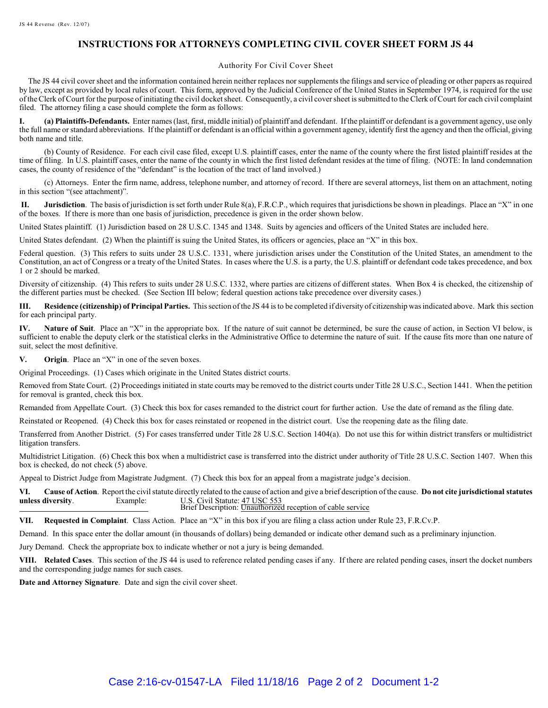## **INSTRUCTIONS FOR ATTORNEYS COMPLETING CIVIL COVER SHEET FORM JS 44**

### Authority For Civil Cover Sheet

The JS 44 civil cover sheet and the information contained herein neither replaces nor supplements the filings and service of pleading or other papers as required by law, except as provided by local rules of court. This form, approved by the Judicial Conference of the United States in September 1974, is required for the use of the Clerk of Court for the purpose of initiating the civil docket sheet. Consequently, a civil cover sheet is submitted to the Clerk of Court for each civil complaint filed. The attorney filing a case should complete the form as follows:

**I. (a) Plaintiffs-Defendants.** Enter names (last, first, middle initial) of plaintiff and defendant. If the plaintiff or defendant is a government agency, use only the full name or standard abbreviations. If the plaintiff or defendant is an official within a government agency, identify first the agency and then the official, giving both name and title.

(b) County of Residence. For each civil case filed, except U.S. plaintiff cases, enter the name of the county where the first listed plaintiff resides at the time of filing. In U.S. plaintiff cases, enter the name of the county in which the first listed defendant resides at the time of filing. (NOTE: In land condemnation cases, the county of residence of the "defendant" is the location of the tract of land involved.)

(c) Attorneys. Enter the firm name, address, telephone number, and attorney of record. If there are several attorneys, list them on an attachment, noting in this section "(see attachment)".

 **II. Jurisdiction**. The basis of jurisdiction is set forth under Rule 8(a), F.R.C.P., which requires that jurisdictions be shown in pleadings. Place an "X" in one of the boxes. If there is more than one basis of jurisdiction, precedence is given in the order shown below.

United States plaintiff. (1) Jurisdiction based on 28 U.S.C. 1345 and 1348. Suits by agencies and officers of the United States are included here.

United States defendant. (2) When the plaintiff is suing the United States, its officers or agencies, place an "X" in this box.

Federal question. (3) This refers to suits under 28 U.S.C. 1331, where jurisdiction arises under the Constitution of the United States, an amendment to the Constitution, an act of Congress or a treaty of the United States. In cases where the U.S. is a party, the U.S. plaintiff or defendant code takes precedence, and box 1 or 2 should be marked.

Diversity of citizenship. (4) This refers to suits under 28 U.S.C. 1332, where parties are citizens of different states. When Box 4 is checked, the citizenship of the different parties must be checked. (See Section III below; federal question actions take precedence over diversity cases.)

**III. Residence (citizenship) of Principal Parties.** This section of the JS 44 is to be completed if diversity of citizenship wasindicated above. Mark this section for each principal party.

**IV. Nature of Suit**. Place an "X" in the appropriate box. If the nature of suit cannot be determined, be sure the cause of action, in Section VI below, is sufficient to enable the deputy clerk or the statistical clerks in the Administrative Office to determine the nature of suit. If the cause fits more than one nature of suit, select the most definitive.

**V. Origin**. Place an "X" in one of the seven boxes.

Original Proceedings. (1) Cases which originate in the United States district courts.

Removed from State Court. (2) Proceedings initiated in state courts may be removed to the district courts under Title 28 U.S.C., Section 1441. When the petition for removal is granted, check this box.

Remanded from Appellate Court. (3) Check this box for cases remanded to the district court for further action. Use the date of remand as the filing date.

Reinstated or Reopened. (4) Check this box for cases reinstated or reopened in the district court. Use the reopening date as the filing date.

Transferred from Another District. (5) For cases transferred under Title 28 U.S.C. Section 1404(a). Do not use this for within district transfers or multidistrict litigation transfers.

Multidistrict Litigation. (6) Check this box when a multidistrict case is transferred into the district under authority of Title 28 U.S.C. Section 1407. When this box is checked, do not check (5) above.

Appeal to District Judge from Magistrate Judgment. (7) Check this box for an appeal from a magistrate judge's decision.

**VI. Cause of Action**. Report the civil statute directly related to the cause of action and give a brief description of the cause. **Do not cite jurisdictional statutes unless diversity.** Example: U.S. Civil Statute: 47 USC 553<br>Brief Description: <u>Unauthorized reception of cable service</u>

**VII. Requested in Complaint**. Class Action. Place an "X" in this box if you are filing a class action under Rule 23, F.R.Cv.P.

Demand. In this space enter the dollar amount (in thousands of dollars) being demanded or indicate other demand such as a preliminary injunction.

Jury Demand. Check the appropriate box to indicate whether or not a jury is being demanded.

**VIII. Related Cases**. This section of the JS 44 is used to reference related pending cases if any. If there are related pending cases, insert the docket numbers and the corresponding judge names for such cases.

**Date and Attorney Signature**. Date and sign the civil cover sheet.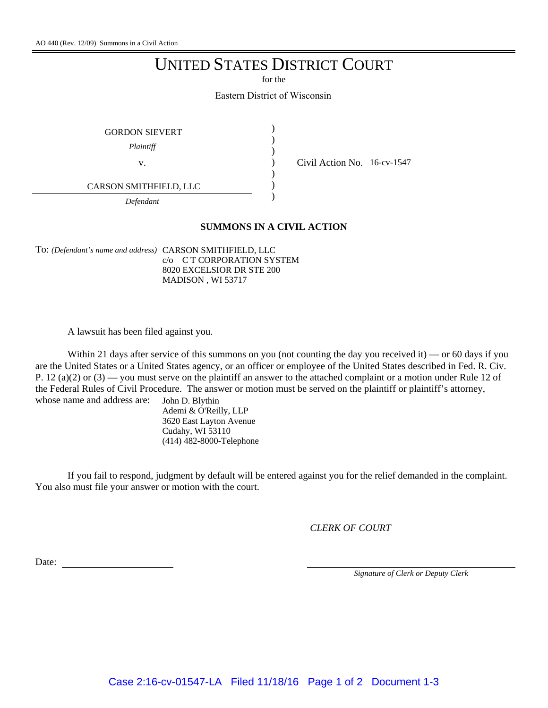## UNITED STATES DISTRICT COURT

for the

Eastern District of Wisconsin

| <b>GORDON SIEVERT</b>  |                             |  |
|------------------------|-----------------------------|--|
| Plaintiff              |                             |  |
| v.                     | Civil Action No. 16-cv-1547 |  |
|                        |                             |  |
| CARSON SMITHFIELD, LLC |                             |  |
| Defendant              |                             |  |

## **SUMMONS IN A CIVIL ACTION**

To: *(Defendant's name and address)* CARSON SMITHFIELD, LLC c/o C T CORPORATION SYSTEM 8020 EXCELSIOR DR STE 200 MADISON , WI 53717

A lawsuit has been filed against you.

Within 21 days after service of this summons on you (not counting the day you received it) — or 60 days if you are the United States or a United States agency, or an officer or employee of the United States described in Fed. R. Civ. P. 12 (a)(2) or (3) — you must serve on the plaintiff an answer to the attached complaint or a motion under Rule 12 of the Federal Rules of Civil Procedure. The answer or motion must be served on the plaintiff or plaintiff's attorney, whose name and address are:

John D. Blythin Ademi & O'Reilly, LLP 3620 East Layton Avenue Cudahy, WI 53110 (414) 482-8000-Telephone

If you fail to respond, judgment by default will be entered against you for the relief demanded in the complaint. You also must file your answer or motion with the court.

*CLERK OF COURT*

Date:

*Signature of Clerk or Deputy Clerk*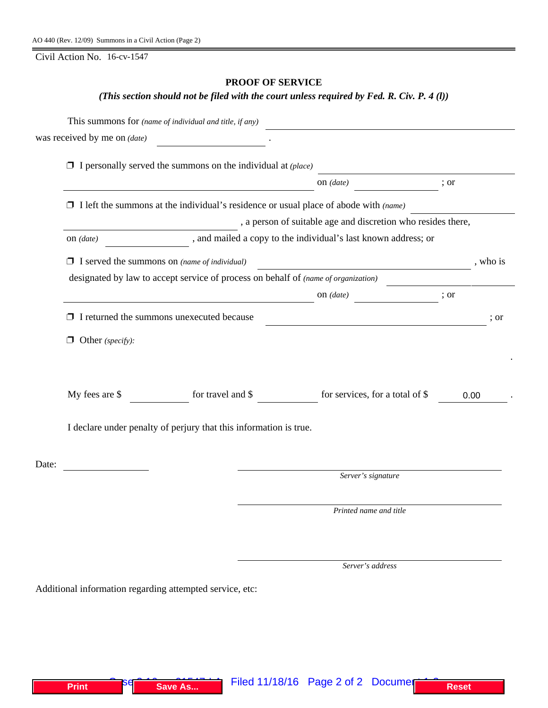Civil Action No. 16-cv-1547

## **PROOF OF SERVICE**

## *(This section should not be filed with the court unless required by Fed. R. Civ. P. 4 (l))*

|       |                                                                                             | This summons for (name of individual and title, if any)                            |                        |                                                                                                                      |      |          |  |
|-------|---------------------------------------------------------------------------------------------|------------------------------------------------------------------------------------|------------------------|----------------------------------------------------------------------------------------------------------------------|------|----------|--|
|       | was received by me on (date)                                                                |                                                                                    |                        |                                                                                                                      |      |          |  |
|       |                                                                                             | $\Box$ I personally served the summons on the individual at (place)                |                        |                                                                                                                      |      |          |  |
|       | on $(date)$                                                                                 |                                                                                    |                        |                                                                                                                      | ; or |          |  |
|       | $\Box$ I left the summons at the individual's residence or usual place of abode with (name) |                                                                                    |                        |                                                                                                                      |      |          |  |
|       |                                                                                             | , a person of suitable age and discretion who resides there,                       |                        |                                                                                                                      |      |          |  |
|       | $on$ (date)                                                                                 |                                                                                    |                        | , and mailed a copy to the individual's last known address; or                                                       |      |          |  |
|       |                                                                                             | $\Box$ I served the summons on (name of individual)                                |                        | <u> 1980 - Jan Samuel Barbara, martin da shekara 1980 - An tsa a tsa a tsa a tsa a tsa a tsa a tsa a tsa a tsa a</u> |      | , who is |  |
|       |                                                                                             | designated by law to accept service of process on behalf of (name of organization) |                        |                                                                                                                      |      |          |  |
|       |                                                                                             |                                                                                    |                        | $\text{on}(date)$                                                                                                    | ; or |          |  |
|       | $\Box$ I returned the summons unexecuted because                                            |                                                                                    |                        |                                                                                                                      |      | ; or     |  |
|       | $\Box$ Other (specify):                                                                     |                                                                                    |                        |                                                                                                                      |      |          |  |
|       |                                                                                             |                                                                                    |                        |                                                                                                                      |      |          |  |
|       |                                                                                             |                                                                                    |                        |                                                                                                                      | 0.00 |          |  |
|       | My fees are \$                                                                              | for travel and \$                                                                  |                        | for services, for a total of \$                                                                                      |      |          |  |
|       | I declare under penalty of perjury that this information is true.                           |                                                                                    |                        |                                                                                                                      |      |          |  |
|       |                                                                                             |                                                                                    |                        |                                                                                                                      |      |          |  |
| Date: |                                                                                             |                                                                                    | Server's signature     |                                                                                                                      |      |          |  |
|       |                                                                                             |                                                                                    | Printed name and title |                                                                                                                      |      |          |  |
|       |                                                                                             |                                                                                    |                        |                                                                                                                      |      |          |  |
|       |                                                                                             |                                                                                    |                        | Server's address                                                                                                     |      |          |  |

Additional information regarding attempted service, etc: